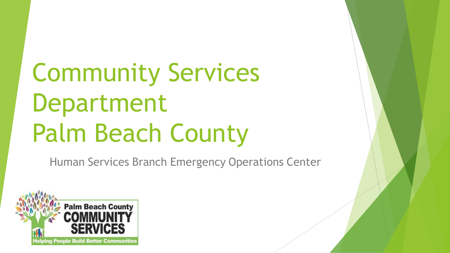# Community Services Department Palm Beach County

Human Services Branch Emergency Operations Center

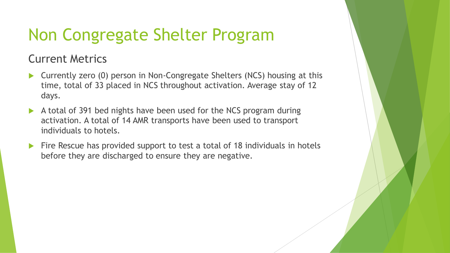# Non Congregate Shelter Program

### Current Metrics

- Currently zero (0) person in Non-Congregate Shelters (NCS) housing at this time, total of 33 placed in NCS throughout activation. Average stay of 12 days.
- A total of 391 bed nights have been used for the NCS program during activation. A total of 14 AMR transports have been used to transport individuals to hotels.
- Fire Rescue has provided support to test a total of 18 individuals in hotels before they are discharged to ensure they are negative.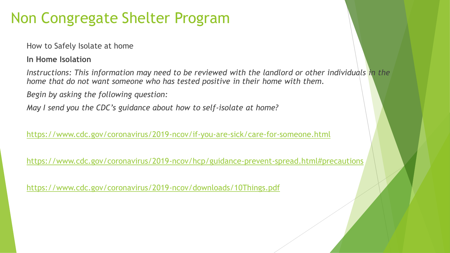### Non Congregate Shelter Program

How to Safely Isolate at home

**In Home Isolation** 

*Instructions: This information may need to be reviewed with the landlord or other individuals in the home that do not want someone who has tested positive in their home with them.* 

*Begin by asking the following question:*

*May I send you the CDC's guidance about how to self-isolate at home?*

<https://www.cdc.gov/coronavirus/2019-ncov/if-you-are-sick/care-for-someone.html>

<https://www.cdc.gov/coronavirus/2019-ncov/hcp/guidance-prevent-spread.html#precautions>

<https://www.cdc.gov/coronavirus/2019-ncov/downloads/10Things.pdf>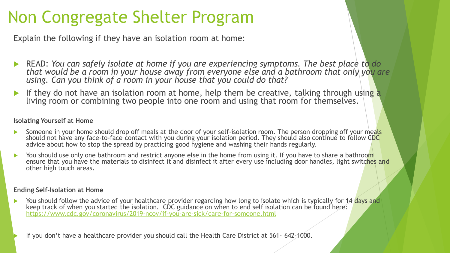# Non Congregate Shelter Program

Explain the following if they have an isolation room at home:

- READ: *You can safely isolate at home if you are experiencing symptoms. The best place to do that would be a room in your house away from everyone else and a bathroom that only you are using. Can you think of a room in your house that you could do that?*
- If they do not have an isolation room at home, help them be creative, talking through using a living room or combining two people into one room and using that room for themselves.

#### **Isolating Yourself at Home**

- Someone in your home should drop off meals at the door of your self-isolation room. The person dropping off your meals should not have any face-to-face contact with you during your isolation period. They should also continue to follow CDC advice about how to stop the spread by practicing good hygiene and washing their hands regularly.
- You should use only one bathroom and restrict anyone else in the home from using it. If you have to share a bathroom ensure that you have the materials to disinfect it and disinfect it after every use including door handles, light switches and other high touch areas.

#### **Ending Self-Isolation at Home**

You should follow the advice of your healthcare provider regarding how long to isolate which is typically for 14 days and keep track of when you started the isolation. CDC guidance on when to end self isolation can be found here: <https://www.cdc.gov/coronavirus/2019-ncov/if-you-are-sick/care-for-someone.html>

If you don't have a healthcare provider you should call the Health Care District at 561- 642-1000.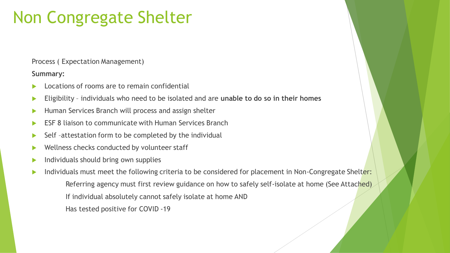### Non Congregate Shelter

Process ( Expectation Management)

**Summary:**

- Locations of rooms are to remain confidential
- Eligibility individuals who need to be isolated and are **unable to do so in their homes**
- **Human Services Branch will process and assign shelter**
- **ESF 8 liaison to communicate with Human Services Branch**
- $\triangleright$  Self-attestation form to be completed by the individual
- $\blacktriangleright$  Wellness checks conducted by volunteer staff
- Individuals should bring own supplies
- Individuals must meet the following criteria to be considered for placement in Non-Congregate Shelter: Referring agency must first review guidance on how to safely self-isolate at home (See Attached) If individual absolutely cannot safely isolate at home AND Has tested positive for COVID -19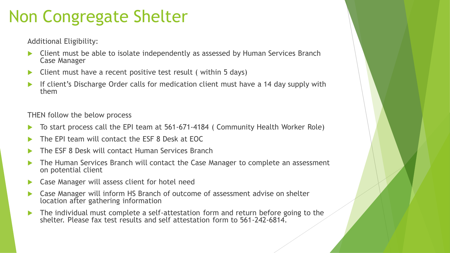## Non Congregate Shelter

Additional Eligibility:

- Client must be able to isolate independently as assessed by Human Services Branch Case Manager
- Client must have a recent positive test result ( within 5 days)
- If client's Discharge Order calls for medication client must have a 14 day supply with them

THEN follow the below process

- To start process call the EPI team at 561-671-4184 ( Community Health Worker Role)
- The EPI team will contact the ESF 8 Desk at EOC
- The ESF 8 Desk will contact Human Services Branch
- The Human Services Branch will contact the Case Manager to complete an assessment on potential client
- Case Manager will assess client for hotel need
- Case Manager will inform HS Branch of outcome of assessment advise on shelter location after gathering information
- The individual must complete a self-attestation form and return before going to the shelter. Please fax test results and self attestation form to 561-242-6814.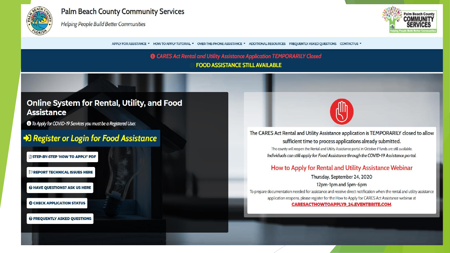

#### **Palm Beach County Community Services**

**Helping People Build Better Communities** 



OVER-THE-PHONE ASSISTANCE \* CONTACT US Y APPLY FOR ASSISTANCE THOW TO APPLY TUTORIAL T ADDITIONAL RESOURCES **FREQUENTLY ASKED OUESTIONS** 

#### **CARES Act Rental and Utility Assistance Application TEMPORARILY Closed FOOD ASSISTANCE STILL AVAILABLE**

#### **Online System for Rental, Utility, and Food Assistance**

**+ To Apply for COVID-19 Services you must be a Registered User.** 

#### D Register or Login for Food Assistance

**A STEP-BY-STEP 'HOW TO APPLY' PDF** 

REPORT TECHNICAL ISSUES HERE

@ HAVE QUESTIONS? ASK US HERE

**O CHECK APPLICATION STATUS** 

#### *© FREQUENTLY ASKED QUESTIONS*

The CARES Act Rental and Utility Assistance application is TEMPORARILY closed to allow sufficient time to process applications already submitted.

The county will reopen the Rental and Utility Assistance portal in October if funds are still available. Individuals can still apply for Food Assistance through the COVID-19 Assistance portal.

#### How to Apply for Rental and Utility Assistance Webinar

Thursday, September 24, 2020 12pm-1pm and 5pm-6pm

To prepare documentation needed for assistance and receive direct notification when the rental and utility assistance application reopens, please register for the How to Apply for CARES Act Assistance webinar at **CARESACTHOWTOAPPLY9\_24.EVENTBRITE.COM.**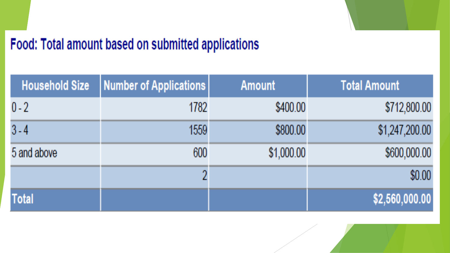### Food: Total amount based on submitted applications

| <b>Household Size</b> | <b>Number of Applications</b> | <b>Amount</b> | <b>Total Amount</b> |
|-----------------------|-------------------------------|---------------|---------------------|
| $0-2$                 | 1782                          | \$400.00      | \$712,800.00        |
| $3 - 4$               | 1559                          | \$800.00      | \$1,247,200.00      |
| 5 and above           | 600                           | \$1,000.00    | \$600,000.00        |
|                       |                               |               | \$0.00              |
| <b>Total</b>          |                               |               | \$2,560,000.00      |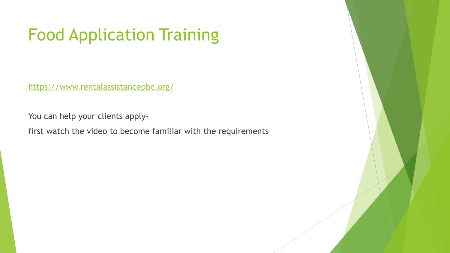# Food Application Training

<https://www.rentalassistancepbc.org/>

You can help your clients apply-

first watch the video to become familiar with the requirements